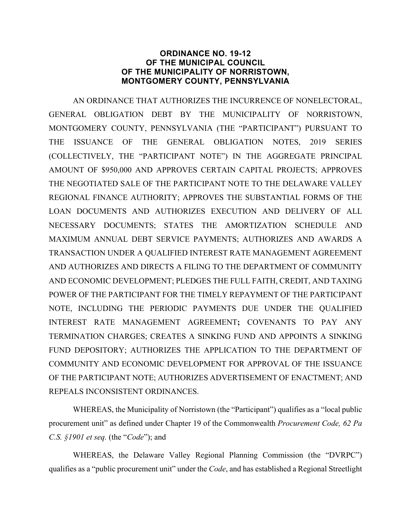### **ORDINANCE NO. 19-12 OF THE MUNICIPAL COUNCIL OF THE MUNICIPALITY OF NORRISTOWN, MONTGOMERY COUNTY, PENNSYLVANIA**

AN ORDINANCE THAT AUTHORIZES THE INCURRENCE OF NONELECTORAL, GENERAL OBLIGATION DEBT BY THE MUNICIPALITY OF NORRISTOWN, MONTGOMERY COUNTY, PENNSYLVANIA (THE "PARTICIPANT") PURSUANT TO THE ISSUANCE OF THE GENERAL OBLIGATION NOTES, 2019 SERIES (COLLECTIVELY, THE "PARTICIPANT NOTE") IN THE AGGREGATE PRINCIPAL AMOUNT OF \$950,000 AND APPROVES CERTAIN CAPITAL PROJECTS; APPROVES THE NEGOTIATED SALE OF THE PARTICIPANT NOTE TO THE DELAWARE VALLEY REGIONAL FINANCE AUTHORITY; APPROVES THE SUBSTANTIAL FORMS OF THE LOAN DOCUMENTS AND AUTHORIZES EXECUTION AND DELIVERY OF ALL NECESSARY DOCUMENTS; STATES THE AMORTIZATION SCHEDULE AND MAXIMUM ANNUAL DEBT SERVICE PAYMENTS; AUTHORIZES AND AWARDS A TRANSACTION UNDER A QUALIFIED INTEREST RATE MANAGEMENT AGREEMENT AND AUTHORIZES AND DIRECTS A FILING TO THE DEPARTMENT OF COMMUNITY AND ECONOMIC DEVELOPMENT; PLEDGES THE FULL FAITH, CREDIT, AND TAXING POWER OF THE PARTICIPANT FOR THE TIMELY REPAYMENT OF THE PARTICIPANT NOTE, INCLUDING THE PERIODIC PAYMENTS DUE UNDER THE QUALIFIED INTEREST RATE MANAGEMENT AGREEMENT**;** COVENANTS TO PAY ANY TERMINATION CHARGES; CREATES A SINKING FUND AND APPOINTS A SINKING FUND DEPOSITORY; AUTHORIZES THE APPLICATION TO THE DEPARTMENT OF COMMUNITY AND ECONOMIC DEVELOPMENT FOR APPROVAL OF THE ISSUANCE OF THE PARTICIPANT NOTE; AUTHORIZES ADVERTISEMENT OF ENACTMENT; AND REPEALS INCONSISTENT ORDINANCES.

WHEREAS, the Municipality of Norristown (the "Participant") qualifies as a "local public procurement unit" as defined under Chapter 19 of the Commonwealth *Procurement Code, 62 Pa C.S. §1901 et seq.* (the "*Code*"); and

WHEREAS, the Delaware Valley Regional Planning Commission (the "DVRPC") qualifies as a "public procurement unit" under the *Code*, and has established a Regional Streetlight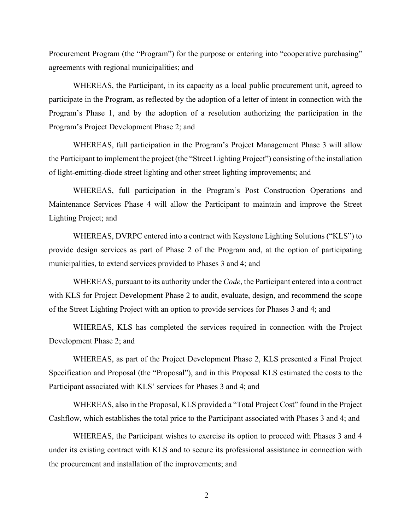Procurement Program (the "Program") for the purpose or entering into "cooperative purchasing" agreements with regional municipalities; and

WHEREAS, the Participant, in its capacity as a local public procurement unit, agreed to participate in the Program, as reflected by the adoption of a letter of intent in connection with the Program's Phase 1, and by the adoption of a resolution authorizing the participation in the Program's Project Development Phase 2; and

WHEREAS, full participation in the Program's Project Management Phase 3 will allow the Participant to implement the project (the "Street Lighting Project") consisting of the installation of light-emitting-diode street lighting and other street lighting improvements; and

WHEREAS, full participation in the Program's Post Construction Operations and Maintenance Services Phase 4 will allow the Participant to maintain and improve the Street Lighting Project; and

WHEREAS, DVRPC entered into a contract with Keystone Lighting Solutions ("KLS") to provide design services as part of Phase 2 of the Program and, at the option of participating municipalities, to extend services provided to Phases 3 and 4; and

WHEREAS, pursuant to its authority under the *Code*, the Participant entered into a contract with KLS for Project Development Phase 2 to audit, evaluate, design, and recommend the scope of the Street Lighting Project with an option to provide services for Phases 3 and 4; and

WHEREAS, KLS has completed the services required in connection with the Project Development Phase 2; and

WHEREAS, as part of the Project Development Phase 2, KLS presented a Final Project Specification and Proposal (the "Proposal"), and in this Proposal KLS estimated the costs to the Participant associated with KLS' services for Phases 3 and 4; and

WHEREAS, also in the Proposal, KLS provided a "Total Project Cost" found in the Project Cashflow, which establishes the total price to the Participant associated with Phases 3 and 4; and

WHEREAS, the Participant wishes to exercise its option to proceed with Phases 3 and 4 under its existing contract with KLS and to secure its professional assistance in connection with the procurement and installation of the improvements; and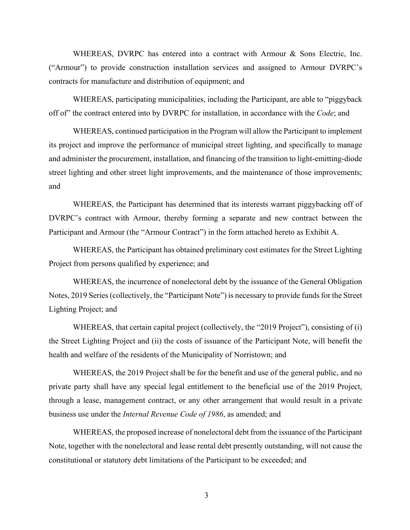WHEREAS, DVRPC has entered into a contract with Armour & Sons Electric, Inc. ("Armour") to provide construction installation services and assigned to Armour DVRPC's contracts for manufacture and distribution of equipment; and

WHEREAS, participating municipalities, including the Participant, are able to "piggyback off of" the contract entered into by DVRPC for installation, in accordance with the *Code*; and

WHEREAS, continued participation in the Program will allow the Participant to implement its project and improve the performance of municipal street lighting, and specifically to manage and administer the procurement, installation, and financing of the transition to light-emitting-diode street lighting and other street light improvements, and the maintenance of those improvements; and

WHEREAS, the Participant has determined that its interests warrant piggybacking off of DVRPC's contract with Armour, thereby forming a separate and new contract between the Participant and Armour (the "Armour Contract") in the form attached hereto as Exhibit A.

WHEREAS, the Participant has obtained preliminary cost estimates for the Street Lighting Project from persons qualified by experience; and

WHEREAS, the incurrence of nonelectoral debt by the issuance of the General Obligation Notes, 2019 Series (collectively, the "Participant Note") is necessary to provide funds for the Street Lighting Project; and

WHEREAS, that certain capital project (collectively, the "2019 Project"), consisting of (i) the Street Lighting Project and (ii) the costs of issuance of the Participant Note, will benefit the health and welfare of the residents of the Municipality of Norristown; and

WHEREAS, the 2019 Project shall be for the benefit and use of the general public, and no private party shall have any special legal entitlement to the beneficial use of the 2019 Project, through a lease, management contract, or any other arrangement that would result in a private business use under the *Internal Revenue Code of 1986*, as amended; and

WHEREAS, the proposed increase of nonelectoral debt from the issuance of the Participant Note, together with the nonelectoral and lease rental debt presently outstanding, will not cause the constitutional or statutory debt limitations of the Participant to be exceeded; and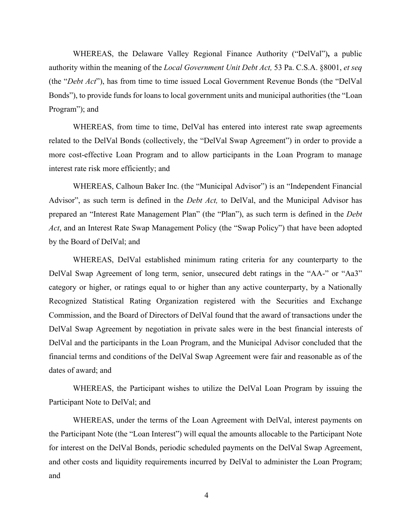WHEREAS, the Delaware Valley Regional Finance Authority ("DelVal")**,** a public authority within the meaning of the *Local Government Unit Debt Act,* 53 Pa. C.S.A. §8001, *et seq*  (the "*Debt Act*"), has from time to time issued Local Government Revenue Bonds (the "DelVal Bonds"), to provide funds for loans to local government units and municipal authorities (the "Loan Program"); and

WHEREAS, from time to time, DelVal has entered into interest rate swap agreements related to the DelVal Bonds (collectively, the "DelVal Swap Agreement") in order to provide a more cost-effective Loan Program and to allow participants in the Loan Program to manage interest rate risk more efficiently; and

WHEREAS, Calhoun Baker Inc. (the "Municipal Advisor") is an "Independent Financial Advisor", as such term is defined in the *Debt Act,* to DelVal, and the Municipal Advisor has prepared an "Interest Rate Management Plan" (the "Plan"), as such term is defined in the *Debt Act*, and an Interest Rate Swap Management Policy (the "Swap Policy") that have been adopted by the Board of DelVal; and

WHEREAS, DelVal established minimum rating criteria for any counterparty to the DelVal Swap Agreement of long term, senior, unsecured debt ratings in the "AA-" or "Aa3" category or higher, or ratings equal to or higher than any active counterparty, by a Nationally Recognized Statistical Rating Organization registered with the Securities and Exchange Commission, and the Board of Directors of DelVal found that the award of transactions under the DelVal Swap Agreement by negotiation in private sales were in the best financial interests of DelVal and the participants in the Loan Program, and the Municipal Advisor concluded that the financial terms and conditions of the DelVal Swap Agreement were fair and reasonable as of the dates of award; and

WHEREAS, the Participant wishes to utilize the DelVal Loan Program by issuing the Participant Note to DelVal; and

WHEREAS, under the terms of the Loan Agreement with DelVal, interest payments on the Participant Note (the "Loan Interest") will equal the amounts allocable to the Participant Note for interest on the DelVal Bonds, periodic scheduled payments on the DelVal Swap Agreement, and other costs and liquidity requirements incurred by DelVal to administer the Loan Program; and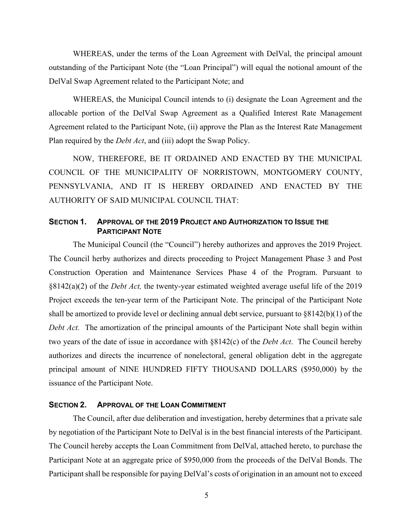WHEREAS, under the terms of the Loan Agreement with DelVal, the principal amount outstanding of the Participant Note (the "Loan Principal") will equal the notional amount of the DelVal Swap Agreement related to the Participant Note; and

WHEREAS, the Municipal Council intends to (i) designate the Loan Agreement and the allocable portion of the DelVal Swap Agreement as a Qualified Interest Rate Management Agreement related to the Participant Note, (ii) approve the Plan as the Interest Rate Management Plan required by the *Debt Act*, and (iii) adopt the Swap Policy.

NOW, THEREFORE, BE IT ORDAINED AND ENACTED BY THE MUNICIPAL COUNCIL OF THE MUNICIPALITY OF NORRISTOWN, MONTGOMERY COUNTY, PENNSYLVANIA, AND IT IS HEREBY ORDAINED AND ENACTED BY THE AUTHORITY OF SAID MUNICIPAL COUNCIL THAT:

### **SECTION 1. APPROVAL OF THE 2019 PROJECT AND AUTHORIZATION TO ISSUE THE PARTICIPANT NOTE**

The Municipal Council (the "Council") hereby authorizes and approves the 2019 Project. The Council herby authorizes and directs proceeding to Project Management Phase 3 and Post Construction Operation and Maintenance Services Phase 4 of the Program. Pursuant to §8142(a)(2) of the *Debt Act,* the twenty-year estimated weighted average useful life of the 2019 Project exceeds the ten-year term of the Participant Note. The principal of the Participant Note shall be amortized to provide level or declining annual debt service, pursuant to §8142(b)(1) of the *Debt Act.* The amortization of the principal amounts of the Participant Note shall begin within two years of the date of issue in accordance with §8142(c) of the *Debt Act*. The Council hereby authorizes and directs the incurrence of nonelectoral, general obligation debt in the aggregate principal amount of NINE HUNDRED FIFTY THOUSAND DOLLARS (\$950,000) by the issuance of the Participant Note.

### **SECTION 2. APPROVAL OF THE LOAN COMMITMENT**

The Council, after due deliberation and investigation, hereby determines that a private sale by negotiation of the Participant Note to DelVal is in the best financial interests of the Participant. The Council hereby accepts the Loan Commitment from DelVal, attached hereto, to purchase the Participant Note at an aggregate price of \$950,000 from the proceeds of the DelVal Bonds. The Participant shall be responsible for paying DelVal's costs of origination in an amount not to exceed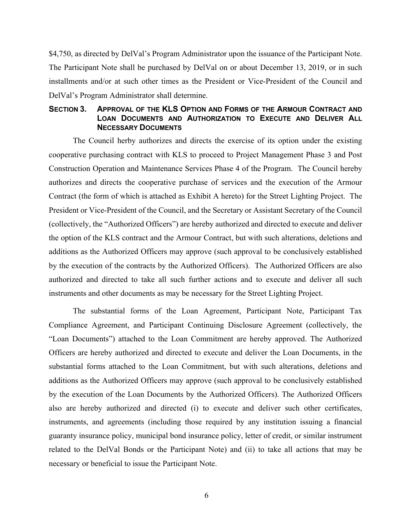\$4,750, as directed by DelVal's Program Administrator upon the issuance of the Participant Note. The Participant Note shall be purchased by DelVal on or about December 13, 2019, or in such installments and/or at such other times as the President or Vice-President of the Council and DelVal's Program Administrator shall determine.

## **SECTION 3. APPROVAL OF THE KLS OPTION AND FORMS OF THE ARMOUR CONTRACT AND LOAN DOCUMENTS AND AUTHORIZATION TO EXECUTE AND DELIVER ALL NECESSARY DOCUMENTS**

The Council herby authorizes and directs the exercise of its option under the existing cooperative purchasing contract with KLS to proceed to Project Management Phase 3 and Post Construction Operation and Maintenance Services Phase 4 of the Program. The Council hereby authorizes and directs the cooperative purchase of services and the execution of the Armour Contract (the form of which is attached as Exhibit A hereto) for the Street Lighting Project. The President or Vice-President of the Council, and the Secretary or Assistant Secretary of the Council (collectively, the "Authorized Officers") are hereby authorized and directed to execute and deliver the option of the KLS contract and the Armour Contract, but with such alterations, deletions and additions as the Authorized Officers may approve (such approval to be conclusively established by the execution of the contracts by the Authorized Officers). The Authorized Officers are also authorized and directed to take all such further actions and to execute and deliver all such instruments and other documents as may be necessary for the Street Lighting Project.

The substantial forms of the Loan Agreement, Participant Note, Participant Tax Compliance Agreement, and Participant Continuing Disclosure Agreement (collectively, the "Loan Documents") attached to the Loan Commitment are hereby approved. The Authorized Officers are hereby authorized and directed to execute and deliver the Loan Documents, in the substantial forms attached to the Loan Commitment, but with such alterations, deletions and additions as the Authorized Officers may approve (such approval to be conclusively established by the execution of the Loan Documents by the Authorized Officers). The Authorized Officers also are hereby authorized and directed (i) to execute and deliver such other certificates, instruments, and agreements (including those required by any institution issuing a financial guaranty insurance policy, municipal bond insurance policy, letter of credit, or similar instrument related to the DelVal Bonds or the Participant Note) and (ii) to take all actions that may be necessary or beneficial to issue the Participant Note.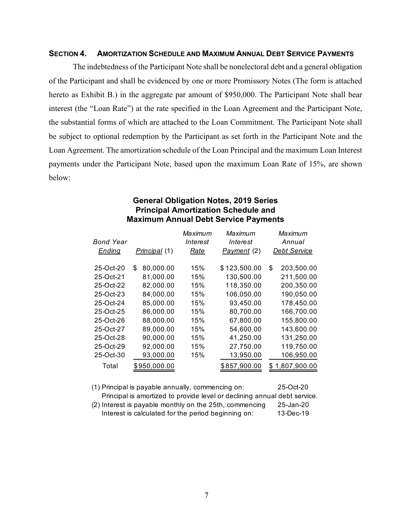#### **SECTION 4. AMORTIZATION SCHEDULE AND MAXIMUM ANNUAL DEBT SERVICE PAYMENTS**

The indebtedness of the Participant Note shall be nonelectoral debt and a general obligation of the Participant and shall be evidenced by one or more Promissory Notes (The form is attached hereto as Exhibit B.) in the aggregate par amount of \$950,000. The Participant Note shall bear interest (the "Loan Rate") at the rate specified in the Loan Agreement and the Participant Note, the substantial forms of which are attached to the Loan Commitment. The Participant Note shall be subject to optional redemption by the Participant as set forth in the Participant Note and the Loan Agreement. The amortization schedule of the Loan Principal and the maximum Loan Interest payments under the Participant Note, based upon the maximum Loan Rate of 15%, are shown below:

## **General Obligation Notes, 2019 Series Principal Amortization Schedule and Maximum Annual Debt Service Payments**

|               |                  | Maximum     | Maximum      | Maximum             |
|---------------|------------------|-------------|--------------|---------------------|
| Bond Year     |                  | Interest    | Interest     | Annual              |
| <u>Ending</u> | Principal (1)    | <u>Rate</u> | Payment (2)  | <b>Debt Service</b> |
| 25-Oct-20     | 80,000.00<br>\$. | 15%         | \$123,500.00 | \$<br>203,500.00    |
| 25-Oct-21     | 81,000.00        | 15%         | 130,500.00   | 211,500.00          |
| 25-Oct-22     | 82,000.00        | 15%         | 118,350.00   | 200,350.00          |
| 25-Oct-23     | 84,000.00        | 15%         | 106,050.00   | 190,050.00          |
| 25-Oct-24     | 85,000.00        | 15%         | 93,450.00    | 178,450.00          |
| 25-Oct-25     | 86,000.00        | 15%         | 80,700.00    | 166,700.00          |
| 25-Oct-26     | 88,000.00        | 15%         | 67,800.00    | 155,800.00          |
| 25-Oct-27     | 89,000.00        | 15%         | 54,600.00    | 143,600.00          |
| 25-Oct-28     | 90,000.00        | 15%         | 41,250.00    | 131,250.00          |
| 25-Oct-29     | 92,000.00        | 15%         | 27,750.00    | 119,750.00          |
| 25-Oct-30     | 93,000.00        | 15%         | 13,950.00    | 106,950.00          |
| Total         | \$950,000.00     |             | \$857,900.00 | \$1,807,900.00      |
|               |                  |             |              |                     |

(1) Principal is payable annually, commencing on:

25-Oct-20

25-Jan-20 13-Dec-19 Principal is amortized to provide level or declining annual debt service. (2) Interest is payable monthly on the 25th, commencing: Interest is calculated for the period beginning on: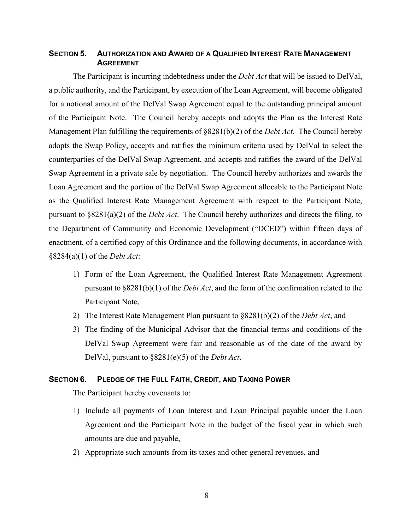## **SECTION 5. AUTHORIZATION AND AWARD OF A QUALIFIED INTEREST RATE MANAGEMENT AGREEMENT**

The Participant is incurring indebtedness under the *Debt Act* that will be issued to DelVal, a public authority, and the Participant, by execution of the Loan Agreement, will become obligated for a notional amount of the DelVal Swap Agreement equal to the outstanding principal amount of the Participant Note. The Council hereby accepts and adopts the Plan as the Interest Rate Management Plan fulfilling the requirements of §8281(b)(2) of the *Debt Act*. The Council hereby adopts the Swap Policy, accepts and ratifies the minimum criteria used by DelVal to select the counterparties of the DelVal Swap Agreement, and accepts and ratifies the award of the DelVal Swap Agreement in a private sale by negotiation. The Council hereby authorizes and awards the Loan Agreement and the portion of the DelVal Swap Agreement allocable to the Participant Note as the Qualified Interest Rate Management Agreement with respect to the Participant Note, pursuant to §8281(a)(2) of the *Debt Act*. The Council hereby authorizes and directs the filing, to the Department of Community and Economic Development ("DCED") within fifteen days of enactment, of a certified copy of this Ordinance and the following documents, in accordance with §8284(a)(1) of the *Debt Act*:

- 1) Form of the Loan Agreement, the Qualified Interest Rate Management Agreement pursuant to §8281(b)(1) of the *Debt Act*, and the form of the confirmation related to the Participant Note,
- 2) The Interest Rate Management Plan pursuant to §8281(b)(2) of the *Debt Act*, and
- 3) The finding of the Municipal Advisor that the financial terms and conditions of the DelVal Swap Agreement were fair and reasonable as of the date of the award by DelVal, pursuant to §8281(e)(5) of the *Debt Act*.

### **SECTION 6. PLEDGE OF THE FULL FAITH, CREDIT, AND TAXING POWER**

The Participant hereby covenants to:

- 1) Include all payments of Loan Interest and Loan Principal payable under the Loan Agreement and the Participant Note in the budget of the fiscal year in which such amounts are due and payable,
- 2) Appropriate such amounts from its taxes and other general revenues, and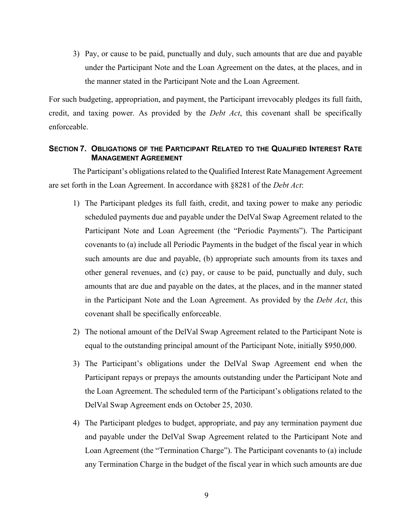3) Pay, or cause to be paid, punctually and duly, such amounts that are due and payable under the Participant Note and the Loan Agreement on the dates, at the places, and in the manner stated in the Participant Note and the Loan Agreement.

For such budgeting, appropriation, and payment, the Participant irrevocably pledges its full faith, credit, and taxing power. As provided by the *Debt Act*, this covenant shall be specifically enforceable.

# **SECTION 7. OBLIGATIONS OF THE PARTICIPANT RELATED TO THE QUALIFIED INTEREST RATE MANAGEMENT AGREEMENT**

The Participant's obligations related to the Qualified Interest Rate Management Agreement are set forth in the Loan Agreement. In accordance with §8281 of the *Debt Act*:

- 1) The Participant pledges its full faith, credit, and taxing power to make any periodic scheduled payments due and payable under the DelVal Swap Agreement related to the Participant Note and Loan Agreement (the "Periodic Payments"). The Participant covenants to (a) include all Periodic Payments in the budget of the fiscal year in which such amounts are due and payable, (b) appropriate such amounts from its taxes and other general revenues, and (c) pay, or cause to be paid, punctually and duly, such amounts that are due and payable on the dates, at the places, and in the manner stated in the Participant Note and the Loan Agreement. As provided by the *Debt Act*, this covenant shall be specifically enforceable.
- 2) The notional amount of the DelVal Swap Agreement related to the Participant Note is equal to the outstanding principal amount of the Participant Note, initially \$950,000.
- 3) The Participant's obligations under the DelVal Swap Agreement end when the Participant repays or prepays the amounts outstanding under the Participant Note and the Loan Agreement. The scheduled term of the Participant's obligations related to the DelVal Swap Agreement ends on October 25, 2030.
- 4) The Participant pledges to budget, appropriate, and pay any termination payment due and payable under the DelVal Swap Agreement related to the Participant Note and Loan Agreement (the "Termination Charge"). The Participant covenants to (a) include any Termination Charge in the budget of the fiscal year in which such amounts are due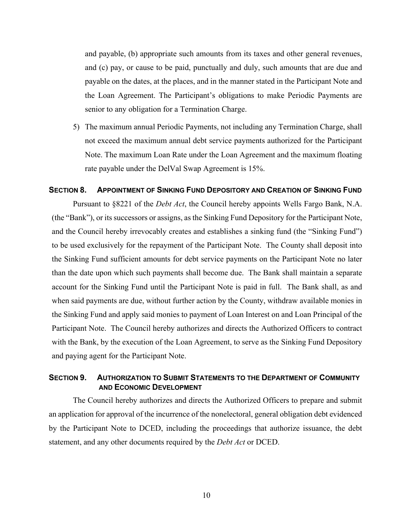and payable, (b) appropriate such amounts from its taxes and other general revenues, and (c) pay, or cause to be paid, punctually and duly, such amounts that are due and payable on the dates, at the places, and in the manner stated in the Participant Note and the Loan Agreement. The Participant's obligations to make Periodic Payments are senior to any obligation for a Termination Charge.

5) The maximum annual Periodic Payments, not including any Termination Charge, shall not exceed the maximum annual debt service payments authorized for the Participant Note. The maximum Loan Rate under the Loan Agreement and the maximum floating rate payable under the DelVal Swap Agreement is 15%.

#### **SECTION 8. APPOINTMENT OF SINKING FUND DEPOSITORY AND CREATION OF SINKING FUND**

Pursuant to §8221 of the *Debt Act*, the Council hereby appoints Wells Fargo Bank, N.A. (the "Bank"), or its successors or assigns, as the Sinking Fund Depository for the Participant Note, and the Council hereby irrevocably creates and establishes a sinking fund (the "Sinking Fund") to be used exclusively for the repayment of the Participant Note. The County shall deposit into the Sinking Fund sufficient amounts for debt service payments on the Participant Note no later than the date upon which such payments shall become due. The Bank shall maintain a separate account for the Sinking Fund until the Participant Note is paid in full. The Bank shall, as and when said payments are due, without further action by the County, withdraw available monies in the Sinking Fund and apply said monies to payment of Loan Interest on and Loan Principal of the Participant Note. The Council hereby authorizes and directs the Authorized Officers to contract with the Bank, by the execution of the Loan Agreement, to serve as the Sinking Fund Depository and paying agent for the Participant Note.

## **SECTION 9. AUTHORIZATION TO SUBMIT STATEMENTS TO THE DEPARTMENT OF COMMUNITY AND ECONOMIC DEVELOPMENT**

The Council hereby authorizes and directs the Authorized Officers to prepare and submit an application for approval of the incurrence of the nonelectoral, general obligation debt evidenced by the Participant Note to DCED, including the proceedings that authorize issuance, the debt statement, and any other documents required by the *Debt Act* or DCED.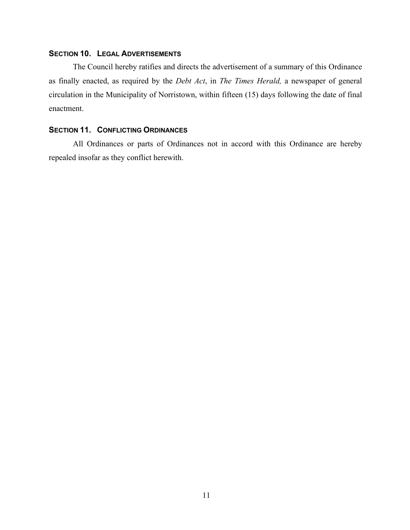## **SECTION 10. LEGAL ADVERTISEMENTS**

The Council hereby ratifies and directs the advertisement of a summary of this Ordinance as finally enacted, as required by the *Debt Act*, in *The Times Herald,* a newspaper of general circulation in the Municipality of Norristown, within fifteen (15) days following the date of final enactment.

# **SECTION 11. CONFLICTING ORDINANCES**

All Ordinances or parts of Ordinances not in accord with this Ordinance are hereby repealed insofar as they conflict herewith.